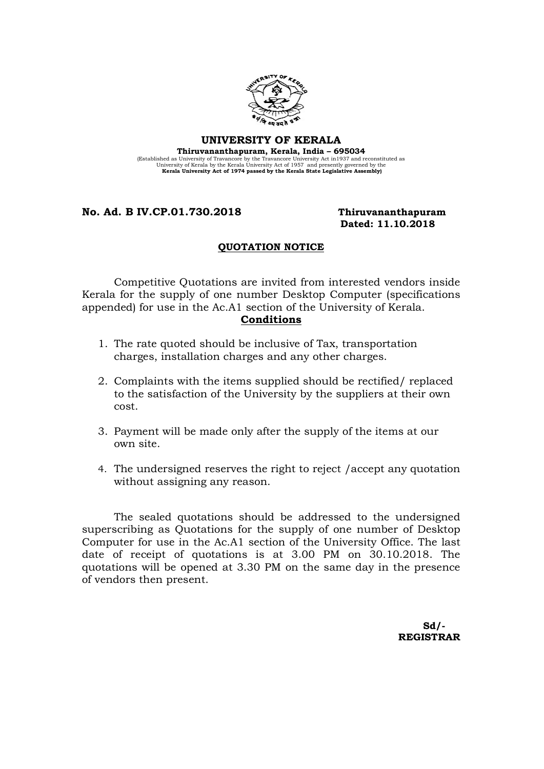

## UNIVERSITY OF KERALA

Thiruvananthapuram, Kerala, India – 695034 (Established as University of Travancore by the Travancore University Act in 1937 and reconstituted as University Act Scholar University Act of 1957 and presently governed by the Kerala University Act of 1974 passed by the

### No. Ad. B IV.CP.01.730.2018 Thiruvananthapuram

# Dated: 11.10.2018

## QUOTATION NOTICE

Competitive Quotations are invited from interested vendors inside Kerala for the supply of one number Desktop Computer (specifications appended) for use in the Ac.A1 section of the University of Kerala. Conditions

- 1. The rate quoted should be inclusive of Tax, transportation charges, installation charges and any other charges.
- 2. Complaints with the items supplied should be rectified/ replaced to the satisfaction of the University by the suppliers at their own cost.
- 3. Payment will be made only after the supply of the items at our own site.
- 4. The undersigned reserves the right to reject /accept any quotation without assigning any reason.

The sealed quotations should be addressed to the undersigned superscribing as Quotations for the supply of one number of Desktop Computer for use in the Ac.A1 section of the University Office. The last date of receipt of quotations is at 3.00 PM on 30.10.2018. The quotations will be opened at 3.30 PM on the same day in the presence of vendors then present.

 $Sd/$ -REGISTRAR